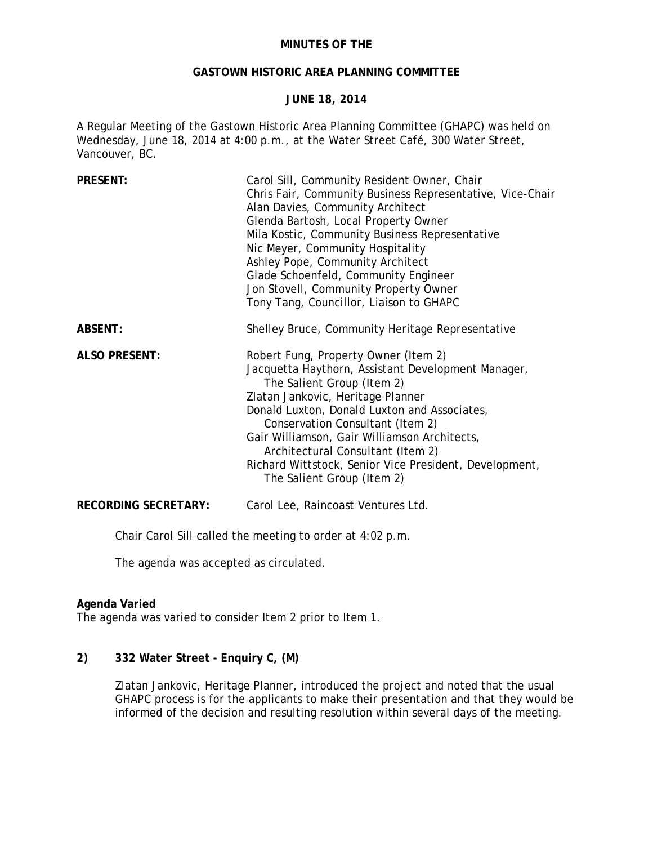### **MINUTES OF THE**

#### **GASTOWN HISTORIC AREA PLANNING COMMITTEE**

### **JUNE 18, 2014**

A Regular Meeting of the Gastown Historic Area Planning Committee (GHAPC) was held on Wednesday, June 18, 2014 at 4:00 p.m., at the Water Street Café, 300 Water Street, Vancouver, BC.

| <b>PRESENT:</b>             | Carol Sill, Community Resident Owner, Chair<br>Chris Fair, Community Business Representative, Vice-Chair<br>Alan Davies, Community Architect<br>Glenda Bartosh, Local Property Owner<br>Mila Kostic, Community Business Representative<br>Nic Meyer, Community Hospitality<br>Ashley Pope, Community Architect<br>Glade Schoenfeld, Community Engineer<br>Jon Stovell, Community Property Owner<br>Tony Tang, Councillor, Liaison to GHAPC |
|-----------------------------|--------------------------------------------------------------------------------------------------------------------------------------------------------------------------------------------------------------------------------------------------------------------------------------------------------------------------------------------------------------------------------------------------------------------------------------------|
| <b>ABSENT:</b>              | Shelley Bruce, Community Heritage Representative                                                                                                                                                                                                                                                                                                                                                                                           |
| <b>ALSO PRESENT:</b>        | Robert Fung, Property Owner (Item 2)<br>Jacquetta Haythorn, Assistant Development Manager,<br>The Salient Group (Item 2)<br>Zlatan Jankovic, Heritage Planner<br>Donald Luxton, Donald Luxton and Associates,<br>Conservation Consultant (Item 2)<br>Gair Williamson, Gair Williamson Architects,<br>Architectural Consultant (Item 2)<br>Richard Wittstock, Senior Vice President, Development,<br>The Salient Group (Item 2)             |
| <b>RECORDING SECRETARY:</b> | Carol Lee, Raincoast Ventures Ltd.                                                                                                                                                                                                                                                                                                                                                                                                         |

Chair Carol Sill called the meeting to order at 4:02 p.m.

The agenda was accepted as circulated.

### **Agenda Varied**

The agenda was varied to consider Item 2 prior to Item 1.

## **2) 332 Water Street - Enquiry C, (M)**

Zlatan Jankovic, Heritage Planner, introduced the project and noted that the usual GHAPC process is for the applicants to make their presentation and that they would be informed of the decision and resulting resolution within several days of the meeting.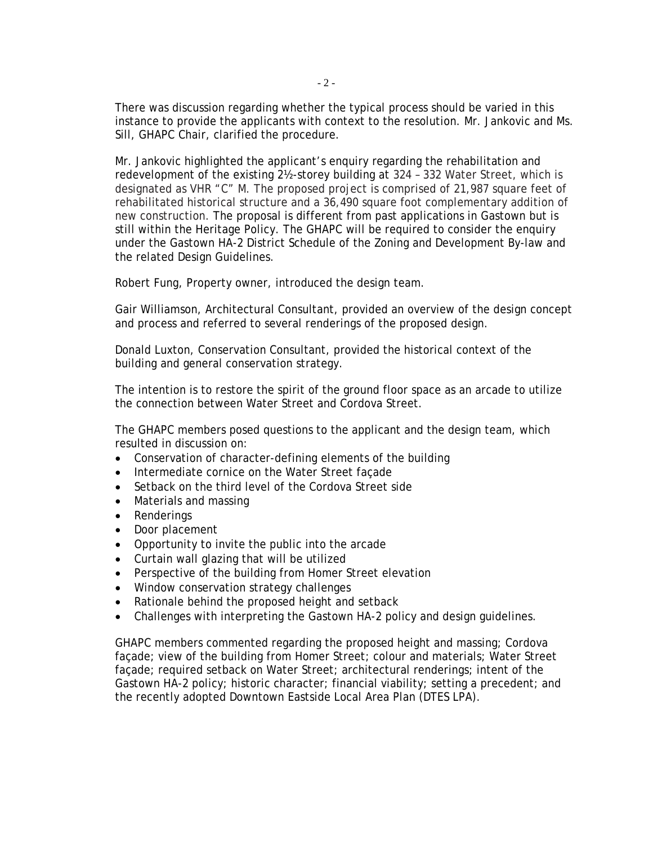There was discussion regarding whether the typical process should be varied in this instance to provide the applicants with context to the resolution. Mr. Jankovic and Ms. Sill, GHAPC Chair, clarified the procedure.

Mr. Jankovic highlighted the applicant's enquiry regarding the rehabilitation and redevelopment of the existing 2½-storey building at 324 – 332 Water Street, which is designated as VHR "C" M. The proposed project is comprised of 21,987 square feet of rehabilitated historical structure and a 36,490 square foot complementary addition of new construction. The proposal is different from past applications in Gastown but is still within the Heritage Policy. The GHAPC will be required to consider the enquiry under the Gastown HA-2 District Schedule of the Zoning and Development By-law and the related Design Guidelines.

Robert Fung, Property owner, introduced the design team.

Gair Williamson, Architectural Consultant, provided an overview of the design concept and process and referred to several renderings of the proposed design.

Donald Luxton, Conservation Consultant, provided the historical context of the building and general conservation strategy.

The intention is to restore the spirit of the ground floor space as an arcade to utilize the connection between Water Street and Cordova Street.

The GHAPC members posed questions to the applicant and the design team, which resulted in discussion on:

- Conservation of character-defining elements of the building
- Intermediate cornice on the Water Street façade
- Setback on the third level of the Cordova Street side
- Materials and massing
- Renderings
- Door placement
- Opportunity to invite the public into the arcade
- Curtain wall glazing that will be utilized
- Perspective of the building from Homer Street elevation
- Window conservation strategy challenges
- Rationale behind the proposed height and setback
- Challenges with interpreting the Gastown HA-2 policy and design guidelines.

GHAPC members commented regarding the proposed height and massing; Cordova façade; view of the building from Homer Street; colour and materials; Water Street façade; required setback on Water Street; architectural renderings; intent of the Gastown HA-2 policy; historic character; financial viability; setting a precedent; and the recently adopted Downtown Eastside Local Area Plan (DTES LPA).